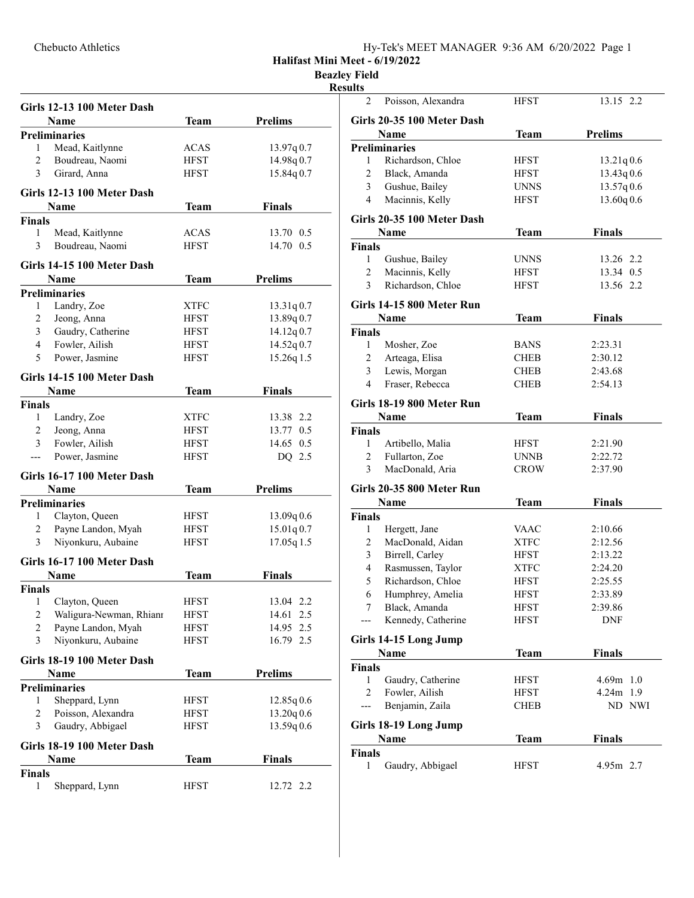| Hy-Tek's MEET MANAGER 9:36 AM 6/20/2022 Page 1 |
|------------------------------------------------|
|------------------------------------------------|

Halifast Mini Meet - 6/19/2022

Beazley Field

## Resul

| Girls 12-13 100 Meter Dash           |             |                |
|--------------------------------------|-------------|----------------|
| Name                                 | <b>Team</b> | <b>Prelims</b> |
| <b>Preliminaries</b>                 |             |                |
| Mead, Kaitlynne<br>1                 | ACAS        | 13.97q 0.7     |
| Boudreau, Naomi<br>2                 | <b>HFST</b> | 14.98q 0.7     |
| 3<br>Girard, Anna                    | <b>HFST</b> | 15.84q 0.7     |
|                                      |             |                |
| Girls 12-13 100 Meter Dash           |             |                |
| Name                                 | <b>Team</b> | <b>Finals</b>  |
| <b>Finals</b>                        |             |                |
| 1<br>Mead, Kaitlynne                 | <b>ACAS</b> | 13.70 0.5      |
| 3<br>Boudreau, Naomi                 | <b>HFST</b> | 14.70 0.5      |
| Girls 14-15 100 Meter Dash           |             |                |
| <b>Name</b>                          | <b>Team</b> | <b>Prelims</b> |
| <b>Preliminaries</b>                 |             |                |
| Landry, Zoe<br>1                     | XTFC        | 13.31q0.7      |
| $\overline{c}$<br>Jeong, Anna        | HFST        | 13.89q 0.7     |
| 3<br>Gaudry, Catherine               | HFST        | 14.12q0.7      |
| Fowler, Ailish<br>4                  | HFST        | 14.52q0.7      |
| 5<br>Power, Jasmine                  | <b>HFST</b> | 15.26q 1.5     |
|                                      |             |                |
| Girls 14-15 100 Meter Dash           |             |                |
| Name                                 | <b>Team</b> | <b>Finals</b>  |
| <b>Finals</b>                        |             |                |
| Landry, Zoe<br>1                     | XTFC        | 13.38 2.2      |
| $\overline{c}$<br>Jeong, Anna        | <b>HFST</b> | 13.77 0.5      |
| 3<br>Fowler, Ailish                  | HFST        | 14.65 0.5      |
| Power, Jasmine<br>---                | HFST        | DQ 2.5         |
| Girls 16-17 100 Meter Dash           |             |                |
| Name                                 | Team        | <b>Prelims</b> |
| <b>Preliminaries</b>                 |             |                |
| Clayton, Queen<br>1                  | <b>HFST</b> | 13.09q0.6      |
| $\overline{c}$<br>Payne Landon, Myah | <b>HFST</b> | 15.01q 0.7     |
| 3<br>Niyonkuru, Aubaine              | <b>HFST</b> | 17.05q 1.5     |
|                                      |             |                |
| Girls 16-17 100 Meter Dash           |             |                |
| Name                                 | Team        | <b>Finals</b>  |
| <b>Finals</b>                        |             |                |
| 1 Clayton, Queen                     | <b>HFST</b> | 13.04 2.2      |
| 2<br>Waligura-Newman, Rhianr         | <b>HFST</b> | 14.61 2.5      |
| $\overline{c}$<br>Payne Landon, Myah | <b>HFST</b> | 14.95 2.5      |
| 3<br>Niyonkuru, Aubaine              | <b>HFST</b> | 16.79 2.5      |
| Girls 18-19 100 Meter Dash           |             |                |
| Name                                 | Team        | <b>Prelims</b> |
| <b>Preliminaries</b>                 |             |                |
| Sheppard, Lynn<br>1                  | <b>HFST</b> | 12.85q0.6      |
| Poisson, Alexandra<br>2              | <b>HFST</b> | 13.20q 0.6     |
| 3<br>Gaudry, Abbigael                | <b>HFST</b> | 13.59q0.6      |
|                                      |             |                |
| Girls 18-19 100 Meter Dash           |             |                |
| Name                                 | Team        | <b>Finals</b>  |
| <b>Finals</b>                        |             |                |
| 1<br>Sheppard, Lynn                  | <b>HFST</b> | 12.72 2.2      |

| ılts                |                            |              |                         |
|---------------------|----------------------------|--------------|-------------------------|
| 2                   | Poisson, Alexandra         | <b>HFST</b>  | 13.15 2.2               |
|                     | Girls 20-35 100 Meter Dash |              |                         |
|                     |                            |              |                         |
|                     | Name                       | <b>Team</b>  | <b>Prelims</b>          |
| 1                   | Preliminaries              |              |                         |
| $\overline{c}$      | Richardson, Chloe          | <b>HFST</b>  | 13.21q0.6               |
|                     | Black, Amanda              | <b>HFST</b>  | 13.43q0.6               |
| 3<br>$\overline{4}$ | Gushue, Bailey             | UNNS<br>HFST | 13.57q0.6<br>13.60q 0.6 |
|                     | Macinnis, Kelly            |              |                         |
|                     | Girls 20-35 100 Meter Dash |              |                         |
|                     | Name                       | Team         | <b>Finals</b>           |
| Finals              |                            |              |                         |
| $\mathbf{1}$        | Gushue, Bailey             | UNNS         | 13.26 2.2               |
| $\mathfrak{2}$      | Macinnis, Kelly            | HFST         | 13.34 0.5               |
| 3                   | Richardson, Chloe          | HFST         | 13.56 2.2               |
|                     | Girls 14-15 800 Meter Run  |              |                         |
|                     | Name                       | Team         | <b>Finals</b>           |
|                     |                            |              |                         |
| Finals<br>1         | Mosher, Zoe                | <b>BANS</b>  | 2:23.31                 |
| 2                   | Arteaga, Elisa             | CHEB         | 2:30.12                 |
| 3                   | Lewis, Morgan              | CHEB         | 2:43.68                 |
| $\overline{4}$      | Fraser, Rebecca            | CHEB         | 2:54.13                 |
|                     |                            |              |                         |
|                     | Girls 18-19 800 Meter Run  |              |                         |
|                     | Name                       | <b>Team</b>  | <b>Finals</b>           |
| Finals              |                            |              |                         |
| 1                   | Artibello, Malia           | <b>HFST</b>  | 2:21.90                 |
| $\mathfrak{2}$      | Fullarton, Zoe             | <b>UNNB</b>  | 2:22.72                 |
| 3                   | MacDonald, Aria            | CROW         | 2:37.90                 |
|                     | Girls 20-35 800 Meter Run  |              |                         |
|                     | Name                       | Team         | <b>Finals</b>           |
| Finals              |                            |              |                         |
| 1                   | Hergett, Jane              | VAAC         | 2:10.66                 |
| $\overline{c}$      | MacDonald, Aidan           | <b>XTFC</b>  | 2:12.56                 |
| $\mathfrak{Z}$      | Birrell, Carley            | <b>HFST</b>  | 2:13.22                 |
| 4                   | Rasmussen, Taylor          | <b>XTFC</b>  | 2:24.20                 |
| 5                   | Richardson, Chloe          | HFST         | 2:25.55                 |
| 6                   | Humphrey, Amelia           | HFST         | 2:33.89                 |
| 7                   | Black, Amanda              | HFST         | 2:39.86                 |
| ---                 | Kennedy, Catherine         | <b>HFST</b>  | <b>DNF</b>              |
|                     |                            |              |                         |
|                     | Girls 14-15 Long Jump      |              |                         |
|                     | Name                       | <b>Team</b>  | <b>Finals</b>           |
| Finals              |                            |              |                         |
| 1                   | Gaudry, Catherine          | HFST         | $4.69m$ 1.0             |
| $\overline{c}$      | Fowler, Ailish             | HFST         | 4.24m 1.9               |
| ---                 | Benjamin, Zaila            | <b>CHEB</b>  | ND NWI                  |
|                     | Girls 18-19 Long Jump      |              |                         |
|                     | Name                       | <b>Team</b>  | <b>Finals</b>           |
| Finals              |                            |              |                         |
| 1                   | Gaudry, Abbigael           | HFST         | $4.95m$ 2.7             |
|                     |                            |              |                         |
|                     |                            |              |                         |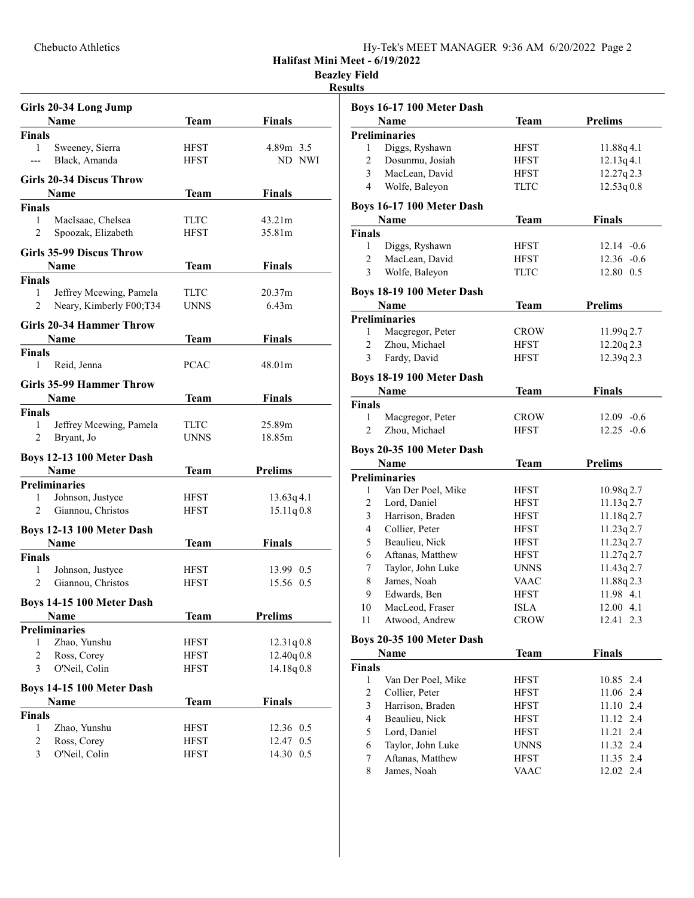Halifast Mini Meet - 6/19/2022

Beazley Field

## Results

|                | Girls 20-34 Long Jump           |             |                    |  |
|----------------|---------------------------------|-------------|--------------------|--|
|                | <b>Name</b>                     | Team        | <b>Finals</b>      |  |
| <b>Finals</b>  |                                 |             |                    |  |
| $\mathbf{1}$   | Sweeney, Sierra                 | <b>HFST</b> | 4.89m 3.5          |  |
|                | Black, Amanda                   | <b>HFST</b> | ND NWI             |  |
|                |                                 |             |                    |  |
|                | <b>Girls 20-34 Discus Throw</b> |             |                    |  |
|                | Name                            | Team        | <b>Finals</b>      |  |
| <b>Finals</b>  |                                 |             |                    |  |
| $\mathbf{1}$   | MacIsaac, Chelsea               | <b>TLTC</b> | 43.21m             |  |
| $\overline{2}$ | Spoozak, Elizabeth              | HFST        | 35.81m             |  |
|                | <b>Girls 35-99 Discus Throw</b> |             |                    |  |
|                | Name                            | Team        | <b>Finals</b>      |  |
| Finals         |                                 |             |                    |  |
| 1              | Jeffrey Mcewing, Pamela         | TLTC        | 20.37 <sub>m</sub> |  |
| 2              | Neary, Kimberly F00;T34         | <b>UNNS</b> | 6.43m              |  |
|                |                                 |             |                    |  |
|                | <b>Girls 20-34 Hammer Throw</b> |             |                    |  |
|                | <b>Name</b>                     | Team        | <b>Finals</b>      |  |
| <b>Finals</b>  |                                 |             |                    |  |
| 1              | Reid, Jenna                     | <b>PCAC</b> | 48.01m             |  |
|                |                                 |             |                    |  |
|                | <b>Girls 35-99 Hammer Throw</b> |             |                    |  |
|                | Name                            | Team        | <b>Finals</b>      |  |
| <b>Finals</b>  |                                 |             |                    |  |
| $\mathbf{1}$   | Jeffrey Mcewing, Pamela         | TLTC        | 25.89m             |  |
| 2              | Bryant, Jo                      | UNNS        | 18.85m             |  |
|                | Boys 12-13 100 Meter Dash       |             |                    |  |
|                | <b>Name</b>                     | Team        | <b>Prelims</b>     |  |
|                | <b>Preliminaries</b>            |             |                    |  |
| 1              | Johnson, Justyce                | HFST        | 13.63q4.1          |  |
| 2              | Giannou, Christos               | HFST        | 15.11q0.8          |  |
|                |                                 |             |                    |  |
|                | Boys 12-13 100 Meter Dash       |             |                    |  |
|                | <b>Name</b>                     | Team        | <b>Finals</b>      |  |
| <b>Finals</b>  |                                 |             |                    |  |
| 1              | Johnson, Justyce                | <b>HFST</b> | 13.99 0.5          |  |
| 2              | Giannou, Christos               | <b>HFST</b> | 15.56 0.5          |  |
|                |                                 |             |                    |  |
|                | Boys 14-15 100 Meter Dash       |             |                    |  |
|                | Name                            | <b>Team</b> | <b>Prelims</b>     |  |
|                | <b>Preliminaries</b>            |             |                    |  |
| 1              | Zhao, Yunshu                    | <b>HFST</b> | 12.31q0.8          |  |
| 2              | Ross, Corey                     | HFST        | 12.40q 0.8         |  |
| 3              | O'Neil, Colin                   | <b>HFST</b> | 14.18q0.8          |  |
|                | Boys 14-15 100 Meter Dash       |             |                    |  |
|                |                                 |             |                    |  |
|                | Name                            | <b>Team</b> | Finals             |  |
| <b>Finals</b>  |                                 |             |                    |  |
| 1              | Zhao, Yunshu                    | <b>HFST</b> | 12.36 0.5          |  |
| 2              | Ross, Corey                     | <b>HFST</b> | 12.47<br>0.5       |  |
| 3              | O'Neil, Colin                   | <b>HFST</b> | 14.30<br>0.5       |  |

|                | <b>Boys 16-17 100 Meter Dash</b> |             |                |
|----------------|----------------------------------|-------------|----------------|
|                | Name                             | Team        | <b>Prelims</b> |
|                | <b>Preliminaries</b>             |             |                |
| 1              | Diggs, Ryshawn                   | <b>HFST</b> | 11.88q4.1      |
| 2              | Dosunmu, Josiah                  | <b>HFST</b> | 12.13q4.1      |
| 3              | MacLean, David                   | <b>HFST</b> | 12.27q2.3      |
| $\overline{4}$ | Wolfe, Baleyon                   | <b>TLTC</b> | 12.53q0.8      |
|                | <b>Boys 16-17 100 Meter Dash</b> |             |                |
|                | <b>Name</b>                      | <b>Team</b> | <b>Finals</b>  |
| <b>Finals</b>  |                                  |             |                |
| 1              | Diggs, Ryshawn                   | <b>HFST</b> | $12.14 - 0.6$  |
| $\overline{c}$ | MacLean, David                   | HFST        | $12.36 - 0.6$  |
| 3              | Wolfe, Baleyon                   | TLTC        | 12.80 0.5      |
|                | Boys 18-19 100 Meter Dash        |             |                |
|                | Name                             | Team        | <b>Prelims</b> |
|                | <b>Preliminaries</b>             |             |                |
| 1              | Macgregor, Peter                 | <b>CROW</b> | 11.99q2.7      |
| 2              | Zhou, Michael                    | HFST        | 12.20q2.3      |
| 3              | Fardy, David                     | <b>HFST</b> | 12.39q 2.3     |
|                |                                  |             |                |
|                | <b>Boys 18-19 100 Meter Dash</b> |             |                |
|                | Name                             | Team        | <b>Finals</b>  |
| Finals<br>1    | Macgregor, Peter                 | <b>CROW</b> | $12.09 - 0.6$  |
| 2              | Zhou, Michael                    | HFST        | $12.25 -0.6$   |
|                |                                  |             |                |
|                | Boys 20-35 100 Meter Dash        |             |                |
| Name           |                                  | <b>Team</b> | <b>Prelims</b> |
|                | <b>Preliminaries</b>             |             |                |
| 1              | Van Der Poel, Mike               | <b>HFST</b> | 10.98q 2.7     |
| $\mathfrak{2}$ | Lord, Daniel                     | <b>HFST</b> | 11.13q2.7      |
| 3              | Harrison, Braden                 | <b>HFST</b> | 11.18q2.7      |
| 4              | Collier, Peter                   | <b>HFST</b> | 11.23q2.7      |
| 5              | Beaulieu, Nick                   | <b>HFST</b> | 11.23q2.7      |
| 6              | Aftanas, Matthew                 | <b>HFST</b> | 11.27q2.7      |
| 7              | Taylor, John Luke                | <b>UNNS</b> | 11.43q2.7      |
| 8              | James, Noah                      | VAAC        | 11.88q2.3      |
| 9              | Edwards, Ben                     | <b>HFST</b> | 11.98 4.1      |
| 10             | MacLeod, Fraser                  | <b>ISLA</b> | 12.00 4.1      |
| 11             | Atwood, Andrew                   | <b>CROW</b> | 12.41<br>2.3   |
|                | Boys 20-35 100 Meter Dash        |             |                |
| Name           |                                  | Team        | <b>Finals</b>  |
| Finals         |                                  |             |                |
| $\mathbf{1}$   | Van Der Poel, Mike               | <b>HFST</b> | 10.85 2.4      |
| $\overline{c}$ | Collier, Peter                   | HFST        | 11.06 2.4      |
| 3              | Harrison, Braden                 | HFST        | 11.10 2.4      |
| 4              | Beaulieu, Nick                   | <b>HFST</b> | 11.12 2.4      |
| 5              | Lord, Daniel                     | <b>HFST</b> | 11.21 2.4      |
| 6              | Taylor, John Luke                | <b>UNNS</b> | 11.32 2.4      |
| 7              | Aftanas, Matthew                 | <b>HFST</b> | 11.35 2.4      |

7 Aftanas, Matthew HFST 11.35 2.4<br>8 James, Noah VAAC 12.02 2.4

8 James, Noah